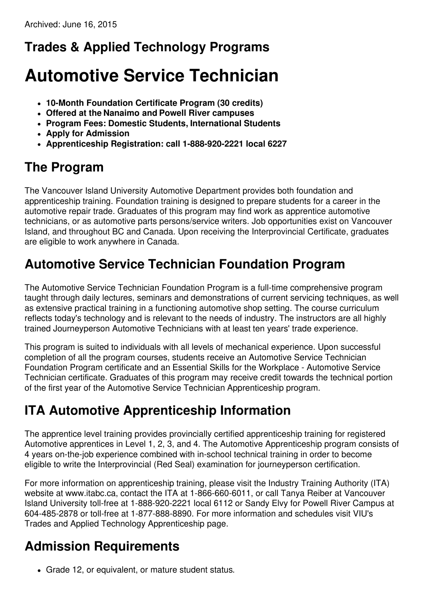#### **Trades & Applied Technology Programs**

# **Automotive Service Technician**

- **10-Month Foundation Certificate Program (30 credits)**
- **Offered at the Nanaimo and Powell River campuses**
- **Program Fees: Domestic Students, International Students**
- **Apply for Admission**
- **Apprenticeship Registration: call 1-888-920-2221 local 6227**

#### **The Program**

The Vancouver Island University Automotive Department provides both foundation and apprenticeship training. Foundation training is designed to prepare students for a career in the automotive repair trade. Graduates of this program may find work as apprentice automotive technicians, or as automotive parts persons/service writers. Job opportunities exist on Vancouver Island, and throughout BC and Canada. Upon receiving the Interprovincial Certificate, graduates are eligible to work anywhere in Canada.

#### **Automotive Service Technician Foundation Program**

The Automotive Service Technician Foundation Program is a full-time comprehensive program taught through daily lectures, seminars and demonstrations of current servicing techniques, as well as extensive practical training in a functioning automotive shop setting. The course curriculum reflects today's technology and is relevant to the needs of industry. The instructors are all highly trained Journeyperson Automotive Technicians with at least ten years' trade experience.

This program is suited to individuals with all levels of mechanical experience. Upon successful completion of all the program courses, students receive an Automotive Service Technician Foundation Program certificate and an Essential Skills for the Workplace - Automotive Service Technician certificate. Graduates of this program may receive credit towards the technical portion of the first year of the Automotive Service Technician Apprenticeship program.

#### **ITA Automotive Apprenticeship Information**

The apprentice level training provides provincially certified apprenticeship training for registered Automotive apprentices in Level 1, 2, 3, and 4. The Automotive Apprenticeship program consists of 4 years on-the-job experience combined with in-school technical training in order to become eligible to write the Interprovincial (Red Seal) examination for journeyperson certification.

For more information on apprenticeship training, please visit the Industry Training Authority (ITA) website at www.itabc.ca, contact the ITA at 1-866-660-6011, or call Tanya Reiber at Vancouver Island University toll-free at 1-888-920-2221 local 6112 or Sandy Elvy for Powell River Campus at 604-485-2878 or toll-free at 1-877-888-8890. For more information and schedules visit VIU's Trades and Applied Technology Apprenticeship page.

## **Admission Requirements**

Grade 12, or equivalent, or mature student status.